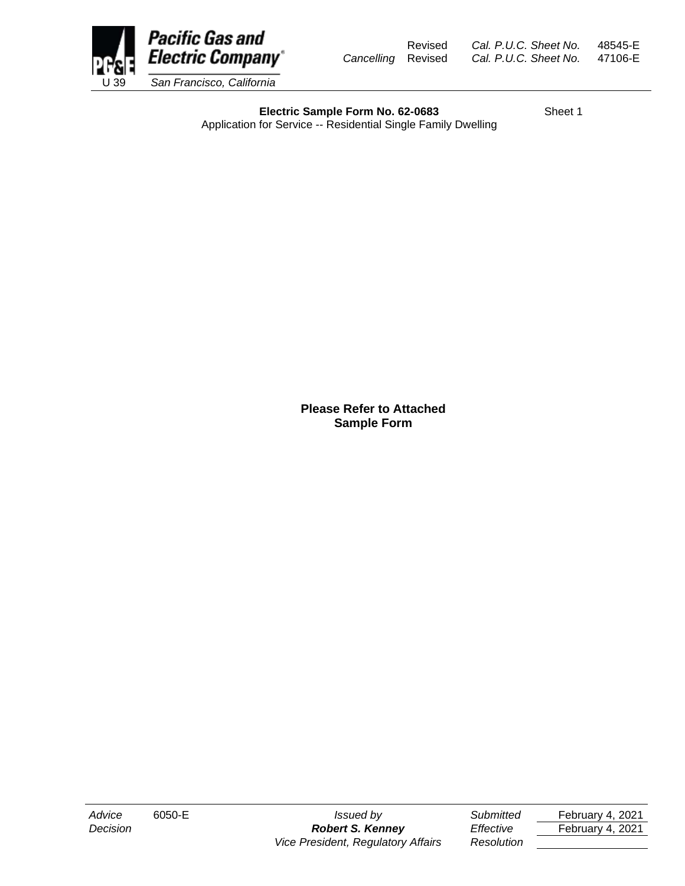

Revised *Cal. P.U.C. Sheet No.* 48545-E *Cancelling* Revised *Cal. P.U.C. Sheet No.* 47106-E

**Electric Sample Form No. 62-0683** Sheet 1 Application for Service -- Residential Single Family Dwelling

> **Please Refer to Attached Sample Form**

*Advice* 6050-E *Issued by Submitted* February 4, 2021 *Decision Robert S. Kenney Effective* February 4, 2021 *Vice President, Regulatory Affairs Resolution*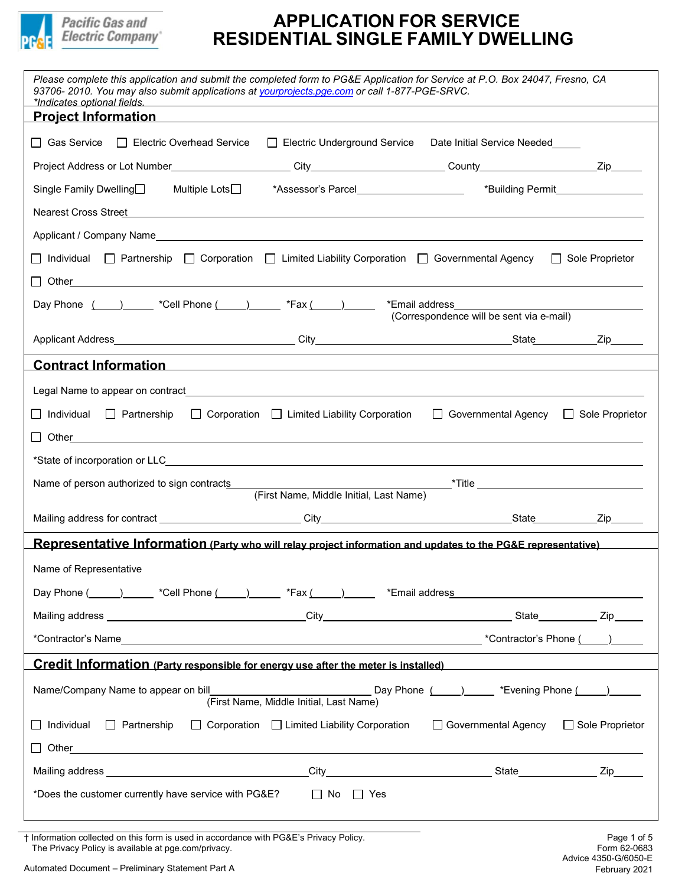

| Please complete this application and submit the completed form to PG&E Application for Service at P.O. Box 24047, Fresno, CA<br>93706-2010. You may also submit applications at yourprojects.pge.com or call 1-877-PGE-SRVC.<br>*Indicates optional fields. |                                                         |                                                                                                                 |  |
|-------------------------------------------------------------------------------------------------------------------------------------------------------------------------------------------------------------------------------------------------------------|---------------------------------------------------------|-----------------------------------------------------------------------------------------------------------------|--|
| Project Information and the contract of the contract of the contract of the contract of the contract of the co                                                                                                                                              |                                                         |                                                                                                                 |  |
| │ │ Gas Service<br>Electric Overhead Service                                                                                                                                                                                                                | Electric Underground Service                            | Date Initial Service Needed                                                                                     |  |
|                                                                                                                                                                                                                                                             |                                                         |                                                                                                                 |  |
| Single Family Dwelling□ Multiple Lots□                                                                                                                                                                                                                      |                                                         | *Assessor's Parcel <b>Assessor's Parcel</b> Assessor's Parcel <b>Assessor's Parcel Assessor's Parcel Assess</b> |  |
| Nearest Cross Street <b>Andrea</b> Cross Street <b>Andrea Cross Street Andrea Cross Street</b>                                                                                                                                                              |                                                         |                                                                                                                 |  |
|                                                                                                                                                                                                                                                             |                                                         |                                                                                                                 |  |
| Individual $\Box$ Partnership $\Box$ Corporation $\Box$ Limited Liability Corporation $\Box$ Governmental Agency                                                                                                                                            |                                                         | $\Box$ Sole Proprietor                                                                                          |  |
| Other <b>Commission Commission Commission</b>                                                                                                                                                                                                               |                                                         |                                                                                                                 |  |
| Day Phone $\frac{(\qquad)}{(\qquad)}$ *Cell Phone $\frac{(\qquad)}{(\qquad)}$ *Fax $\frac{(\qquad)}{(\qquad)}$                                                                                                                                              |                                                         | *Email address<br>(Correspondence will be sent via e-mail)                                                      |  |
|                                                                                                                                                                                                                                                             |                                                         |                                                                                                                 |  |
| Contract Information<br>Solution<br>Contract Information                                                                                                                                                                                                    |                                                         |                                                                                                                 |  |
| Legal Name to appear on contract and the control of the control of the control of the control of the control of the control of the control of the control of the control of the control of the control of the control of the c                              |                                                         |                                                                                                                 |  |
| Individual □ Partnership                                                                                                                                                                                                                                    | $\Box$ Corporation $\Box$ Limited Liability Corporation | □ Governmental Agency □ Sole Proprietor                                                                         |  |
| $\Box$ Other $\Box$                                                                                                                                                                                                                                         |                                                         |                                                                                                                 |  |
|                                                                                                                                                                                                                                                             |                                                         |                                                                                                                 |  |
| Name of person authorized to sign contracts                                                                                                                                                                                                                 |                                                         |                                                                                                                 |  |
|                                                                                                                                                                                                                                                             | (First Name, Middle Initial, Last Name)                 |                                                                                                                 |  |
|                                                                                                                                                                                                                                                             |                                                         |                                                                                                                 |  |
| Representative Information (Party who will relay project information and updates to the PG&E representative)                                                                                                                                                |                                                         |                                                                                                                 |  |
| Name of Representative                                                                                                                                                                                                                                      |                                                         |                                                                                                                 |  |
| Day Phone (etc.) Call Phone (etc.) That is the set of the set of the set of the set of the set of the set of the set of the set of the set of the set of the set of the set of the set of the set of the set of the set of the                              |                                                         |                                                                                                                 |  |
|                                                                                                                                                                                                                                                             |                                                         |                                                                                                                 |  |
|                                                                                                                                                                                                                                                             |                                                         |                                                                                                                 |  |
| Credit Information (Party responsible for energy use after the meter is installed)                                                                                                                                                                          |                                                         |                                                                                                                 |  |
| Name/Company Name to appear on bill                                                                                                                                                                                                                         | (First Name, Middle Initial, Last Name)                 | Day Phone (Compare Theorem Thone (Compare Theorem Thone (Compare Theorem Thone Theorem Theorem Theorem Theorem  |  |
| $\Box$ Individual $\Box$ Partnership                                                                                                                                                                                                                        | $\Box$ Corporation $\Box$ Limited Liability Corporation | □ Governmental Agency □ Sole Proprietor                                                                         |  |
| Other                                                                                                                                                                                                                                                       |                                                         |                                                                                                                 |  |
|                                                                                                                                                                                                                                                             |                                                         |                                                                                                                 |  |
| *Does the customer currently have service with PG&E?                                                                                                                                                                                                        | $\Box$ No $\Box$ Yes                                    |                                                                                                                 |  |

† Information collected on this form is used in accordance with PG&E's Privacy Policy. Page 1 of 5 The Privacy Policy is available at pge.com/privacy.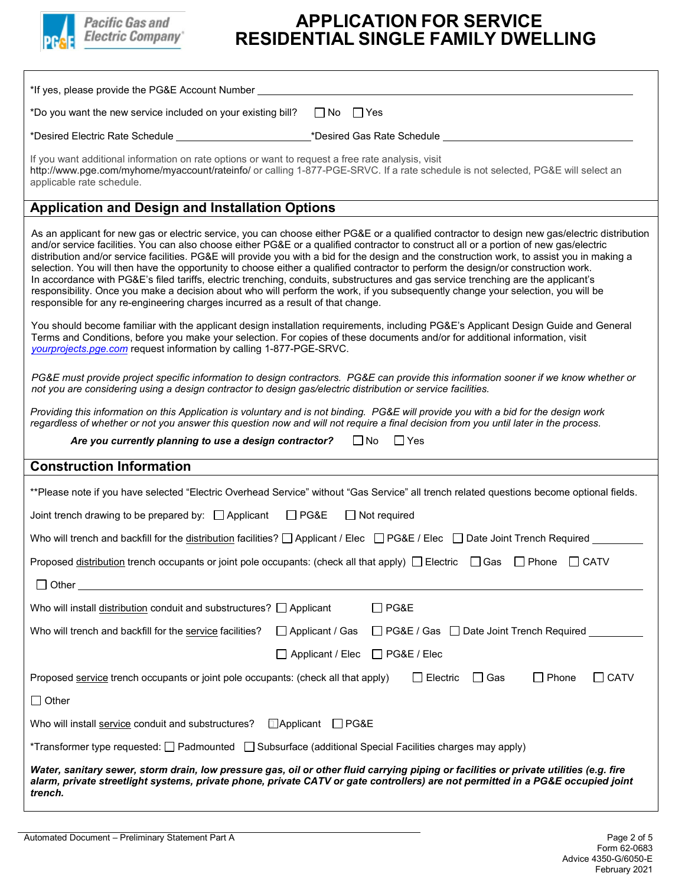

| *If yes, please provide the PG&E Account Number _                                                                                                                                                                                                                                                                                                                                                                                                                                                                                                                                                                                                                                                                                                                                                                                                                                                                                         |  |  |
|-------------------------------------------------------------------------------------------------------------------------------------------------------------------------------------------------------------------------------------------------------------------------------------------------------------------------------------------------------------------------------------------------------------------------------------------------------------------------------------------------------------------------------------------------------------------------------------------------------------------------------------------------------------------------------------------------------------------------------------------------------------------------------------------------------------------------------------------------------------------------------------------------------------------------------------------|--|--|
| *Do you want the new service included on your existing bill?<br>$\Box$ No $\Box$ Yes                                                                                                                                                                                                                                                                                                                                                                                                                                                                                                                                                                                                                                                                                                                                                                                                                                                      |  |  |
| _*Desired Gas Rate Schedule __                                                                                                                                                                                                                                                                                                                                                                                                                                                                                                                                                                                                                                                                                                                                                                                                                                                                                                            |  |  |
| If you want additional information on rate options or want to request a free rate analysis, visit<br>http://www.pge.com/myhome/myaccount/rateinfo/ or calling 1-877-PGE-SRVC. If a rate schedule is not selected, PG&E will select an<br>applicable rate schedule.                                                                                                                                                                                                                                                                                                                                                                                                                                                                                                                                                                                                                                                                        |  |  |
| <b>Application and Design and Installation Options</b>                                                                                                                                                                                                                                                                                                                                                                                                                                                                                                                                                                                                                                                                                                                                                                                                                                                                                    |  |  |
| As an applicant for new gas or electric service, you can choose either PG&E or a qualified contractor to design new gas/electric distribution<br>and/or service facilities. You can also choose either PG&E or a qualified contractor to construct all or a portion of new gas/electric<br>distribution and/or service facilities. PG&E will provide you with a bid for the design and the construction work, to assist you in making a<br>selection. You will then have the opportunity to choose either a qualified contractor to perform the design/or construction work.<br>In accordance with PG&E's filed tariffs, electric trenching, conduits, substructures and gas service trenching are the applicant's<br>responsibility. Once you make a decision about who will perform the work, if you subsequently change your selection, you will be<br>responsible for any re-engineering charges incurred as a result of that change. |  |  |
| You should become familiar with the applicant design installation requirements, including PG&E's Applicant Design Guide and General<br>Terms and Conditions, before you make your selection. For copies of these documents and/or for additional information, visit<br>yourprojects.pge.com request information by calling 1-877-PGE-SRVC.                                                                                                                                                                                                                                                                                                                                                                                                                                                                                                                                                                                                |  |  |
| PG&E must provide project specific information to design contractors. PG&E can provide this information sooner if we know whether or<br>not you are considering using a design contractor to design gas/electric distribution or service facilities.                                                                                                                                                                                                                                                                                                                                                                                                                                                                                                                                                                                                                                                                                      |  |  |
| Providing this information on this Application is voluntary and is not binding. PG&E will provide you with a bid for the design work<br>regardless of whether or not you answer this question now and will not require a final decision from you until later in the process.                                                                                                                                                                                                                                                                                                                                                                                                                                                                                                                                                                                                                                                              |  |  |
| $\Box$ No<br>Are you currently planning to use a design contractor?<br>$\Box$ Yes                                                                                                                                                                                                                                                                                                                                                                                                                                                                                                                                                                                                                                                                                                                                                                                                                                                         |  |  |
| <b>Construction Information</b>                                                                                                                                                                                                                                                                                                                                                                                                                                                                                                                                                                                                                                                                                                                                                                                                                                                                                                           |  |  |
| **Please note if you have selected "Electric Overhead Service" without "Gas Service" all trench related questions become optional fields.                                                                                                                                                                                                                                                                                                                                                                                                                                                                                                                                                                                                                                                                                                                                                                                                 |  |  |
| $\Box$ PG&E<br>$\Box$ Not required<br>Joint trench drawing to be prepared by: □ Applicant                                                                                                                                                                                                                                                                                                                                                                                                                                                                                                                                                                                                                                                                                                                                                                                                                                                 |  |  |
| Who will trench and backfill for the distribution facilities? $\Box$ Applicant / Elec $\Box$ PG&E / Elec $\Box$ Date Joint Trench Required                                                                                                                                                                                                                                                                                                                                                                                                                                                                                                                                                                                                                                                                                                                                                                                                |  |  |
| Proposed distribution trench occupants or joint pole occupants: (check all that apply) $\Box$ Electric $\Box$ Gas<br>$\Box$ Phone<br>$\Box$ CATV                                                                                                                                                                                                                                                                                                                                                                                                                                                                                                                                                                                                                                                                                                                                                                                          |  |  |
| $\Box$ Other                                                                                                                                                                                                                                                                                                                                                                                                                                                                                                                                                                                                                                                                                                                                                                                                                                                                                                                              |  |  |
| Who will install distribution conduit and substructures? $\Box$ Applicant<br>$\Box$ PG&E                                                                                                                                                                                                                                                                                                                                                                                                                                                                                                                                                                                                                                                                                                                                                                                                                                                  |  |  |
| □ PG&E / Gas □ Date Joint Trench Required<br>Who will trench and backfill for the service facilities?<br>$\Box$ Applicant / Gas                                                                                                                                                                                                                                                                                                                                                                                                                                                                                                                                                                                                                                                                                                                                                                                                           |  |  |
| $\Box$ PG&E / Elec<br>$\Box$ Applicant / Elec                                                                                                                                                                                                                                                                                                                                                                                                                                                                                                                                                                                                                                                                                                                                                                                                                                                                                             |  |  |
| $\Box$ Phone<br>$\Box$ CATV<br>$\Box$ Gas<br>Proposed service trench occupants or joint pole occupants: (check all that apply)<br>$\Box$ Electric                                                                                                                                                                                                                                                                                                                                                                                                                                                                                                                                                                                                                                                                                                                                                                                         |  |  |
| $\Box$ Other                                                                                                                                                                                                                                                                                                                                                                                                                                                                                                                                                                                                                                                                                                                                                                                                                                                                                                                              |  |  |
| □Applicant<br>$\Box$ PG&E<br>Who will install service conduit and substructures?                                                                                                                                                                                                                                                                                                                                                                                                                                                                                                                                                                                                                                                                                                                                                                                                                                                          |  |  |
| *Transformer type requested: [ Padmounted   Subsurface (additional Special Facilities charges may apply)                                                                                                                                                                                                                                                                                                                                                                                                                                                                                                                                                                                                                                                                                                                                                                                                                                  |  |  |
| Water, sanitary sewer, storm drain, low pressure gas, oil or other fluid carrying piping or facilities or private utilities (e.g. fire<br>alarm, private streetlight systems, private phone, private CATV or gate controllers) are not permitted in a PG&E occupied joint<br>trench.                                                                                                                                                                                                                                                                                                                                                                                                                                                                                                                                                                                                                                                      |  |  |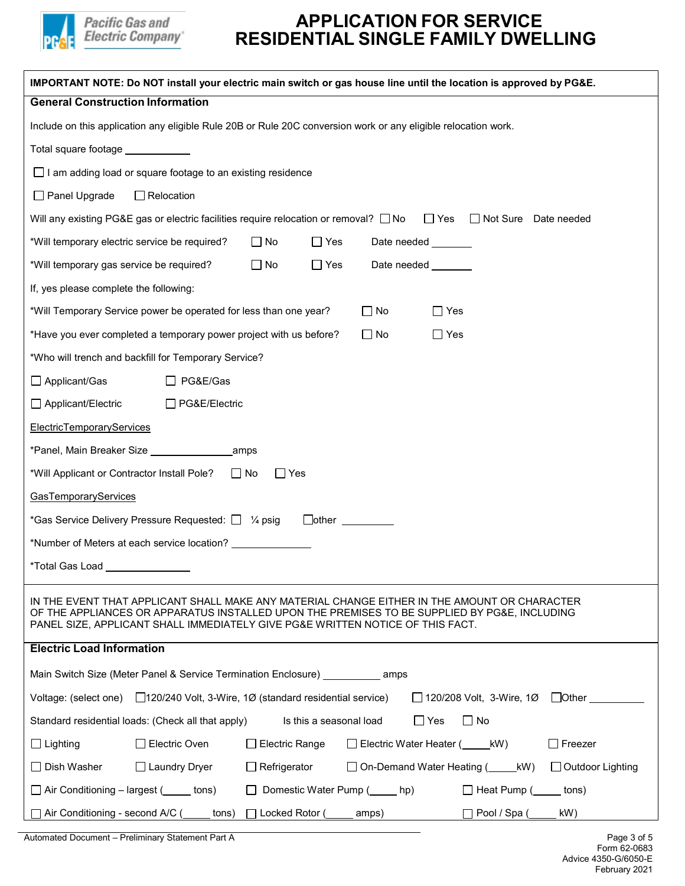

| IMPORTANT NOTE: Do NOT install your electric main switch or gas house line until the location is approved by PG&E.                                                                                                                                                             |  |  |  |
|--------------------------------------------------------------------------------------------------------------------------------------------------------------------------------------------------------------------------------------------------------------------------------|--|--|--|
| <b>General Construction Information</b>                                                                                                                                                                                                                                        |  |  |  |
| Include on this application any eligible Rule 20B or Rule 20C conversion work or any eligible relocation work.                                                                                                                                                                 |  |  |  |
| Total square footage ____________                                                                                                                                                                                                                                              |  |  |  |
| $\Box$ I am adding load or square footage to an existing residence                                                                                                                                                                                                             |  |  |  |
| $\Box$ Relocation<br>$\Box$ Panel Upgrade                                                                                                                                                                                                                                      |  |  |  |
| $\Box$ Yes<br>Will any existing PG&E gas or electric facilities require relocation or removal? $\square$ No<br>$\Box$ Not Sure<br>Date needed                                                                                                                                  |  |  |  |
| *Will temporary electric service be required?<br>$\Box$ No<br>$\Box$ Yes<br>Date needed _______                                                                                                                                                                                |  |  |  |
| *Will temporary gas service be required?<br>$\Box$ No<br>$\Box$ Yes<br>Date needed <b>National Exercise</b>                                                                                                                                                                    |  |  |  |
| If, yes please complete the following:                                                                                                                                                                                                                                         |  |  |  |
| *Will Temporary Service power be operated for less than one year?<br>$\square$ No<br>$\square$ Yes                                                                                                                                                                             |  |  |  |
| *Have you ever completed a temporary power project with us before?<br>$\Box$ No<br>$\Box$ Yes                                                                                                                                                                                  |  |  |  |
| *Who will trench and backfill for Temporary Service?                                                                                                                                                                                                                           |  |  |  |
| $\Box$ Applicant/Gas<br>□ PG&E/Gas                                                                                                                                                                                                                                             |  |  |  |
| □ Applicant/Electric<br>□ PG&E/Electric                                                                                                                                                                                                                                        |  |  |  |
| <b>ElectricTemporaryServices</b>                                                                                                                                                                                                                                               |  |  |  |
|                                                                                                                                                                                                                                                                                |  |  |  |
| *Will Applicant or Contractor Install Pole?<br>$\Box$ No<br>$\Box$ Yes                                                                                                                                                                                                         |  |  |  |
| <b>GasTemporaryServices</b>                                                                                                                                                                                                                                                    |  |  |  |
| *Gas Service Delivery Pressure Requested: $\Box$ $\frac{1}{4}$ psig<br>$\hfill$ other $\hfill$                                                                                                                                                                                 |  |  |  |
| *Number of Meters at each service location?                                                                                                                                                                                                                                    |  |  |  |
| *Total Gas Load                                                                                                                                                                                                                                                                |  |  |  |
| IN THE EVENT THAT APPLICANT SHALL MAKE ANY MATERIAL CHANGE EITHER IN THE AMOUNT OR CHARACTER<br>OF THE APPLIANCES OR APPARATUS INSTALLED UPON THE PREMISES TO BE SUPPLIED BY PG&E, INCLUDING<br>PANEL SIZE, APPLICANT SHALL IMMEDIATELY GIVE PG&E WRITTEN NOTICE OF THIS FACT. |  |  |  |
| <b>Electric Load Information</b>                                                                                                                                                                                                                                               |  |  |  |
| Main Switch Size (Meter Panel & Service Termination Enclosure) _____________ amps                                                                                                                                                                                              |  |  |  |
| Voltage: (select one) □ 120/240 Volt, 3-Wire, 1Ø (standard residential service)<br>$\Box$ 120/208 Volt, 3-Wire, 1Ø $\Box$ Other $\Box$                                                                                                                                         |  |  |  |
| $\Box$ Yes<br>$\Box$ No<br>Standard residential loads: (Check all that apply)<br>Is this a seasonal load                                                                                                                                                                       |  |  |  |
| □ Electric Oven<br>$\Box$ Electric Water Heater ( $\Box$ kW)<br>$\Box$ Freezer<br>$\Box$ Lighting<br>$\Box$ Electric Range                                                                                                                                                     |  |  |  |
| $\Box$ Dish Washer<br>□ Laundry Dryer<br>$\Box$ Refrigerator<br>□ On-Demand Water Heating (KW)<br>$\Box$ Outdoor Lighting                                                                                                                                                      |  |  |  |
| $\Box$ Air Conditioning – largest ( $\Box$ tons)<br>Domestic Water Pump ( <u></u> hp)<br>□ Heat Pump ( <u>secon</u> tons)                                                                                                                                                      |  |  |  |
| Air Conditioning - second A/C (<br>Locked Rotor (<br>]Pool / Spa (_<br>kW)<br>tons)<br>amps)                                                                                                                                                                                   |  |  |  |

Automated Document – Preliminary Statement Part A **Page 3 of 5 Page 3 of 5**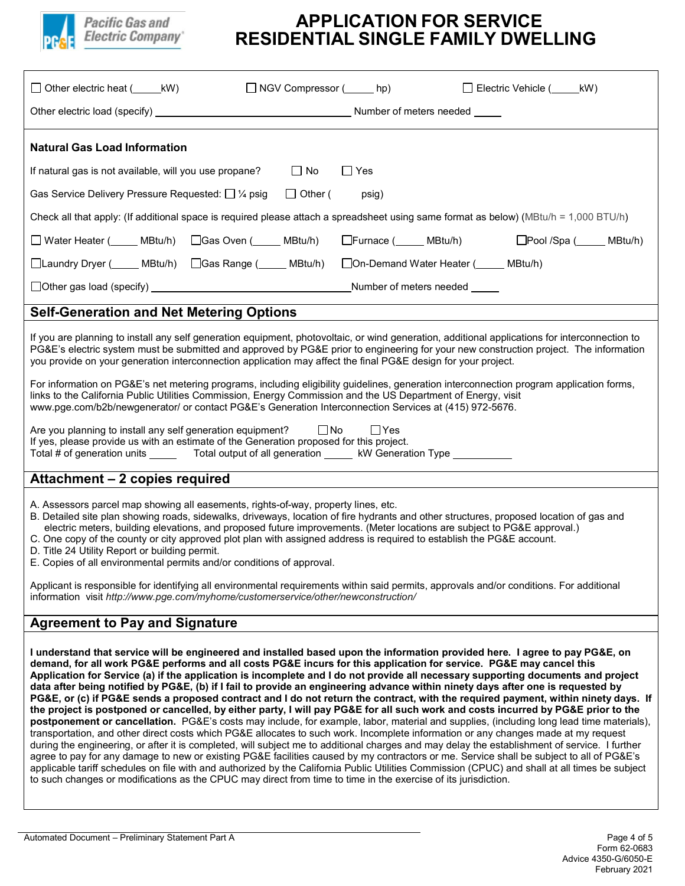

| $\Box$ Other electric heat $($ _______ kW)<br>□ NGV Compressor (______ hp)<br>Electric Vehicle (KW)                                                                                                                                                                                                                                                                                                                                                                                                                                                                                                                                                                                                                                                                                                                                                                                                                                                                                                                                                                                                                                                                                                                                                                                                                                                                                                                                                                                                                                                                                                                                                      |  |  |  |
|----------------------------------------------------------------------------------------------------------------------------------------------------------------------------------------------------------------------------------------------------------------------------------------------------------------------------------------------------------------------------------------------------------------------------------------------------------------------------------------------------------------------------------------------------------------------------------------------------------------------------------------------------------------------------------------------------------------------------------------------------------------------------------------------------------------------------------------------------------------------------------------------------------------------------------------------------------------------------------------------------------------------------------------------------------------------------------------------------------------------------------------------------------------------------------------------------------------------------------------------------------------------------------------------------------------------------------------------------------------------------------------------------------------------------------------------------------------------------------------------------------------------------------------------------------------------------------------------------------------------------------------------------------|--|--|--|
|                                                                                                                                                                                                                                                                                                                                                                                                                                                                                                                                                                                                                                                                                                                                                                                                                                                                                                                                                                                                                                                                                                                                                                                                                                                                                                                                                                                                                                                                                                                                                                                                                                                          |  |  |  |
| <b>Natural Gas Load Information</b>                                                                                                                                                                                                                                                                                                                                                                                                                                                                                                                                                                                                                                                                                                                                                                                                                                                                                                                                                                                                                                                                                                                                                                                                                                                                                                                                                                                                                                                                                                                                                                                                                      |  |  |  |
| $\Box$ No<br>$\Box$ Yes<br>If natural gas is not available, will you use propane?                                                                                                                                                                                                                                                                                                                                                                                                                                                                                                                                                                                                                                                                                                                                                                                                                                                                                                                                                                                                                                                                                                                                                                                                                                                                                                                                                                                                                                                                                                                                                                        |  |  |  |
| $\Box$ Other (<br>Gas Service Delivery Pressure Requested: $\Box$ 1/4 psig<br>psig)                                                                                                                                                                                                                                                                                                                                                                                                                                                                                                                                                                                                                                                                                                                                                                                                                                                                                                                                                                                                                                                                                                                                                                                                                                                                                                                                                                                                                                                                                                                                                                      |  |  |  |
| Check all that apply: (If additional space is required please attach a spreadsheet using same format as below) (MBtu/h = 1,000 BTU/h)                                                                                                                                                                                                                                                                                                                                                                                                                                                                                                                                                                                                                                                                                                                                                                                                                                                                                                                                                                                                                                                                                                                                                                                                                                                                                                                                                                                                                                                                                                                    |  |  |  |
| □ Water Heater (_____ MBtu/h)  □Gas Oven (_____ MBtu/h)   □Furnace (_____ MBtu/h)<br>□Pool /Spa ( <u> </u> MBtu/h)                                                                                                                                                                                                                                                                                                                                                                                                                                                                                                                                                                                                                                                                                                                                                                                                                                                                                                                                                                                                                                                                                                                                                                                                                                                                                                                                                                                                                                                                                                                                       |  |  |  |
| □Laundry Dryer ( <b>______ MBtu/h)</b> □Gas Range ( <b>_____ MBtu/h)</b> □On-Demand Water Heater ( <b>_____ MBtu/h)</b>                                                                                                                                                                                                                                                                                                                                                                                                                                                                                                                                                                                                                                                                                                                                                                                                                                                                                                                                                                                                                                                                                                                                                                                                                                                                                                                                                                                                                                                                                                                                  |  |  |  |
|                                                                                                                                                                                                                                                                                                                                                                                                                                                                                                                                                                                                                                                                                                                                                                                                                                                                                                                                                                                                                                                                                                                                                                                                                                                                                                                                                                                                                                                                                                                                                                                                                                                          |  |  |  |
| <b>Self-Generation and Net Metering Options</b>                                                                                                                                                                                                                                                                                                                                                                                                                                                                                                                                                                                                                                                                                                                                                                                                                                                                                                                                                                                                                                                                                                                                                                                                                                                                                                                                                                                                                                                                                                                                                                                                          |  |  |  |
| If you are planning to install any self generation equipment, photovoltaic, or wind generation, additional applications for interconnection to<br>PG&E's electric system must be submitted and approved by PG&E prior to engineering for your new construction project. The information<br>you provide on your generation interconnection application may affect the final PG&E design for your project.                                                                                                                                                                                                                                                                                                                                                                                                                                                                                                                                                                                                                                                                                                                                                                                                                                                                                                                                                                                                                                                                                                                                                                                                                                                 |  |  |  |
| For information on PG&E's net metering programs, including eligibility guidelines, generation interconnection program application forms,<br>links to the California Public Utilities Commission, Energy Commission and the US Department of Energy, visit<br>www.pge.com/b2b/newgenerator/ or contact PG&E's Generation Interconnection Services at (415) 972-5676.                                                                                                                                                                                                                                                                                                                                                                                                                                                                                                                                                                                                                                                                                                                                                                                                                                                                                                                                                                                                                                                                                                                                                                                                                                                                                      |  |  |  |
| Are you planning to install any self generation equipment? $\Box$ No<br>$\Box$ Yes<br>If yes, please provide us with an estimate of the Generation proposed for this project.<br>Total # of generation units ________ Total output of all generation ______ kW Generation Type __________                                                                                                                                                                                                                                                                                                                                                                                                                                                                                                                                                                                                                                                                                                                                                                                                                                                                                                                                                                                                                                                                                                                                                                                                                                                                                                                                                                |  |  |  |
| Attachment - 2 copies required                                                                                                                                                                                                                                                                                                                                                                                                                                                                                                                                                                                                                                                                                                                                                                                                                                                                                                                                                                                                                                                                                                                                                                                                                                                                                                                                                                                                                                                                                                                                                                                                                           |  |  |  |
| A. Assessors parcel map showing all easements, rights-of-way, property lines, etc.<br>B. Detailed site plan showing roads, sidewalks, driveways, location of fire hydrants and other structures, proposed location of gas and<br>electric meters, building elevations, and proposed future improvements. (Meter locations are subject to PG&E approval.)<br>C. One copy of the county or city approved plot plan with assigned address is required to establish the PG&E account.<br>D. Title 24 Utility Report or building permit.<br>E. Copies of all environmental permits and/or conditions of approval.                                                                                                                                                                                                                                                                                                                                                                                                                                                                                                                                                                                                                                                                                                                                                                                                                                                                                                                                                                                                                                             |  |  |  |
| Applicant is responsible for identifying all environmental requirements within said permits, approvals and/or conditions. For additional<br>information visit http://www.pge.com/myhome/customerservice/other/newconstruction/                                                                                                                                                                                                                                                                                                                                                                                                                                                                                                                                                                                                                                                                                                                                                                                                                                                                                                                                                                                                                                                                                                                                                                                                                                                                                                                                                                                                                           |  |  |  |
| <b>Agreement to Pay and Signature</b>                                                                                                                                                                                                                                                                                                                                                                                                                                                                                                                                                                                                                                                                                                                                                                                                                                                                                                                                                                                                                                                                                                                                                                                                                                                                                                                                                                                                                                                                                                                                                                                                                    |  |  |  |
| I understand that service will be engineered and installed based upon the information provided here. I agree to pay PG&E, on<br>demand, for all work PG&E performs and all costs PG&E incurs for this application for service. PG&E may cancel this<br>Application for Service (a) if the application is incomplete and I do not provide all necessary supporting documents and project<br>data after being notified by PG&E, (b) if I fail to provide an engineering advance within ninety days after one is requested by<br>PG&E, or (c) if PG&E sends a proposed contract and I do not return the contract, with the required payment, within ninety days. If<br>the project is postponed or cancelled, by either party, I will pay PG&E for all such work and costs incurred by PG&E prior to the<br>postponement or cancellation. PG&E's costs may include, for example, labor, material and supplies, (including long lead time materials),<br>transportation, and other direct costs which PG&E allocates to such work. Incomplete information or any changes made at my request<br>during the engineering, or after it is completed, will subject me to additional charges and may delay the establishment of service. I further<br>agree to pay for any damage to new or existing PG&E facilities caused by my contractors or me. Service shall be subject to all of PG&E's<br>applicable tariff schedules on file with and authorized by the California Public Utilities Commission (CPUC) and shall at all times be subject<br>to such changes or modifications as the CPUC may direct from time to time in the exercise of its jurisdiction. |  |  |  |

 Form 62-0683 Advice 4350-G/6050-E February 2021